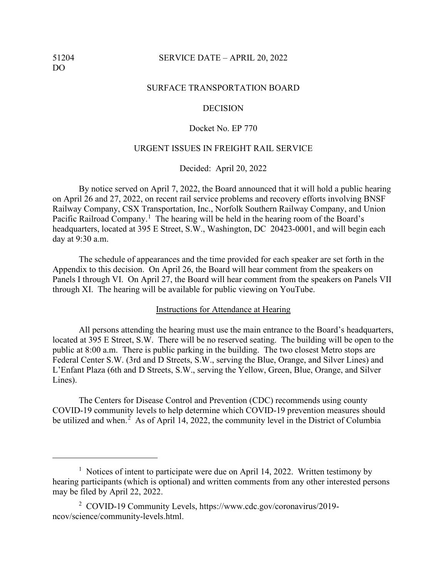## 51204 SERVICE DATE – APRIL 20, 2022

#### SURFACE TRANSPORTATION BOARD

## DECISION

## Docket No. EP 770

## URGENT ISSUES IN FREIGHT RAIL SERVICE

Decided: April 20, 2022

By notice served on April 7, 2022, the Board announced that it will hold a public hearing on April 26 and 27, 2022, on recent rail service problems and recovery efforts involving BNSF Railway Company, CSX Transportation, Inc., Norfolk Southern Railway Company, and Union Pacific Railroad Company.<sup>[1](#page-0-0)</sup> The hearing will be held in the hearing room of the Board's headquarters, located at 395 E Street, S.W., Washington, DC 20423-0001, and will begin each day at 9:30 a.m.

The schedule of appearances and the time provided for each speaker are set forth in the Appendix to this decision. On April 26, the Board will hear comment from the speakers on Panels I through VI. On April 27, the Board will hear comment from the speakers on Panels VII through XI. The hearing will be available for public viewing on YouTube.

#### Instructions for Attendance at Hearing

All persons attending the hearing must use the main entrance to the Board's headquarters, located at 395 E Street, S.W. There will be no reserved seating. The building will be open to the public at 8:00 a.m. There is public parking in the building. The two closest Metro stops are Federal Center S.W. (3rd and D Streets, S.W., serving the Blue, Orange, and Silver Lines) and L'Enfant Plaza (6th and D Streets, S.W., serving the Yellow, Green, Blue, Orange, and Silver Lines).

The Centers for Disease Control and Prevention (CDC) recommends using county COVID-19 community levels to help determine which COVID-19 prevention measures should be utilized and when.<sup>[2](#page-0-1)</sup> As of April 14, 2022, the community level in the District of Columbia

<span id="page-0-0"></span><sup>&</sup>lt;sup>1</sup> Notices of intent to participate were due on April 14, 2022. Written testimony by hearing participants (which is optional) and written comments from any other interested persons may be filed by April 22, 2022.

<span id="page-0-1"></span><sup>2</sup> COVID-19 Community Levels, [https://www.cdc.gov/coronavirus/2019](https://www.cdc.gov/coronavirus/2019-ncov/science/community-levels.html) [ncov/science/community-levels.html.](https://www.cdc.gov/coronavirus/2019-ncov/science/community-levels.html)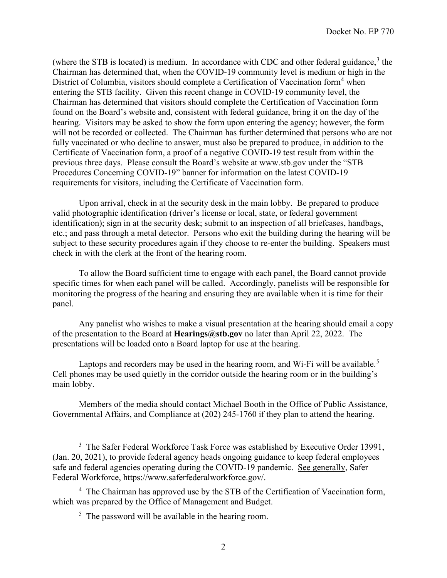(where the STB is located) is medium. In accordance with CDC and other federal guidance, $3$  the Chairman has determined that, when the COVID-19 community level is medium or high in the District of Columbia, visitors should complete a Certification of Vaccination form<sup>[4](#page-1-1)</sup> when entering the STB facility. Given this recent change in COVID-19 community level, the Chairman has determined that visitors should complete the Certification of Vaccination form found on the Board's website and, consistent with federal guidance, bring it on the day of the hearing. Visitors may be asked to show the form upon entering the agency; however, the form will not be recorded or collected. The Chairman has further determined that persons who are not fully vaccinated or who decline to answer, must also be prepared to produce, in addition to the Certificate of Vaccination form, a proof of a negative COVID-19 test result from within the previous three days. Please consult the Board's website at [www.stb.gov](http://www.stb.gov/) under the "STB Procedures Concerning COVID-19" banner for information on the latest COVID-19 requirements for visitors, including the Certificate of Vaccination form.

Upon arrival, check in at the security desk in the main lobby. Be prepared to produce valid photographic identification (driver's license or local, state, or federal government identification); sign in at the security desk; submit to an inspection of all briefcases, handbags, etc.; and pass through a metal detector. Persons who exit the building during the hearing will be subject to these security procedures again if they choose to re-enter the building. Speakers must check in with the clerk at the front of the hearing room.

To allow the Board sufficient time to engage with each panel, the Board cannot provide specific times for when each panel will be called. Accordingly, panelists will be responsible for monitoring the progress of the hearing and ensuring they are available when it is time for their panel.

Any panelist who wishes to make a visual presentation at the hearing should email a copy of the presentation to the Board at **Hearings@stb.gov** no later than April 22, 2022. The presentations will be loaded onto a Board laptop for use at the hearing.

Laptops and recorders may be used in the hearing room, and Wi-Fi will be available.<sup>[5](#page-1-2)</sup> Cell phones may be used quietly in the corridor outside the hearing room or in the building's main lobby.

Members of the media should contact Michael Booth in the Office of Public Assistance, Governmental Affairs, and Compliance at (202) 245-1760 if they plan to attend the hearing.

<span id="page-1-0"></span><sup>&</sup>lt;sup>3</sup> The Safer Federal Workforce Task Force was established by Executive Order 13991, (Jan. 20, 2021), to provide federal agency heads ongoing guidance to keep federal employees safe and federal agencies operating during the COVID-19 pandemic. See generally, Safer Federal Workforce, [https://www.saferfederalworkforce.gov/.](https://www.saferfederalworkforce.gov/)

<span id="page-1-2"></span><span id="page-1-1"></span><sup>&</sup>lt;sup>4</sup> The Chairman has approved use by the STB of the Certification of Vaccination form, which was prepared by the Office of Management and Budget.

 $5$  The password will be available in the hearing room.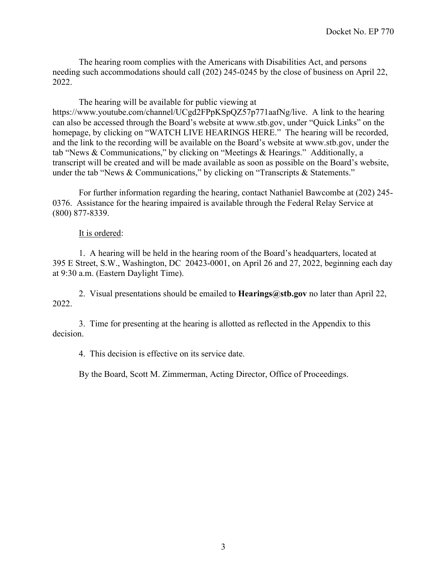The hearing room complies with the Americans with Disabilities Act, and persons needing such accommodations should call (202) 245-0245 by the close of business on April 22, 2022.

The hearing will be available for public viewing at https://www.youtube.com/channel/UCgd2FPpKSpQZ57p771aafNg/live. A link to the hearing can also be accessed through the Board's website at www.stb.gov, under "Quick Links" on the homepage, by clicking on "WATCH LIVE HEARINGS HERE." The hearing will be recorded, and the link to the recording will be available on the Board's website at www.stb.gov, under the tab "News & Communications," by clicking on "Meetings & Hearings." Additionally, a transcript will be created and will be made available as soon as possible on the Board's website, under the tab "News & Communications," by clicking on "Transcripts & Statements."

For further information regarding the hearing, contact Nathaniel Bawcombe at (202) 245- 0376. Assistance for the hearing impaired is available through the Federal Relay Service at (800) 877-8339.

## It is ordered:

1. A hearing will be held in the hearing room of the Board's headquarters, located at 395 E Street, S.W., Washington, DC 20423-0001, on April 26 and 27, 2022, beginning each day at 9:30 a.m. (Eastern Daylight Time).

2. Visual presentations should be emailed to **Hearings@stb.gov** no later than April 22, 2022.

3. Time for presenting at the hearing is allotted as reflected in the Appendix to this decision.

4. This decision is effective on its service date.

By the Board, Scott M. Zimmerman, Acting Director, Office of Proceedings.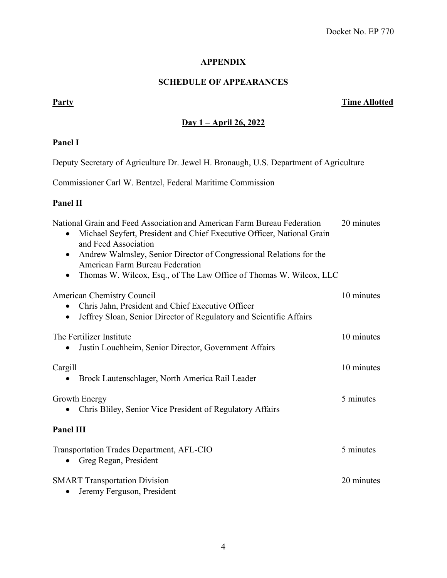# **APPENDIX**

## **SCHEDULE OF APPEARANCES**

## **Party Time Allotted**

## **Day 1 – April 26, 2022**

# **Panel I**

Deputy Secretary of Agriculture Dr. Jewel H. Bronaugh, U.S. Department of Agriculture

Commissioner Carl W. Bentzel, Federal Maritime Commission

# **Panel II**

| National Grain and Feed Association and American Farm Bureau Federation<br>Michael Seyfert, President and Chief Executive Officer, National Grain<br>$\bullet$<br>and Feed Association<br>Andrew Walmsley, Senior Director of Congressional Relations for the<br>$\bullet$ | 20 minutes |
|----------------------------------------------------------------------------------------------------------------------------------------------------------------------------------------------------------------------------------------------------------------------------|------------|
| American Farm Bureau Federation<br>Thomas W. Wilcox, Esq., of The Law Office of Thomas W. Wilcox, LLC                                                                                                                                                                      |            |
| American Chemistry Council                                                                                                                                                                                                                                                 | 10 minutes |
| Chris Jahn, President and Chief Executive Officer<br>Jeffrey Sloan, Senior Director of Regulatory and Scientific Affairs<br>$\bullet$                                                                                                                                      |            |
| The Fertilizer Institute<br>Justin Louchheim, Senior Director, Government Affairs                                                                                                                                                                                          | 10 minutes |
| Cargill<br>Brock Lautenschlager, North America Rail Leader                                                                                                                                                                                                                 | 10 minutes |
| Growth Energy<br>Chris Bliley, Senior Vice President of Regulatory Affairs                                                                                                                                                                                                 | 5 minutes  |
| Panel III                                                                                                                                                                                                                                                                  |            |
| Transportation Trades Department, AFL-CIO<br>Greg Regan, President                                                                                                                                                                                                         | 5 minutes  |
| <b>SMART</b> Transportation Division<br>Jeremy Ferguson, President<br>٠                                                                                                                                                                                                    | 20 minutes |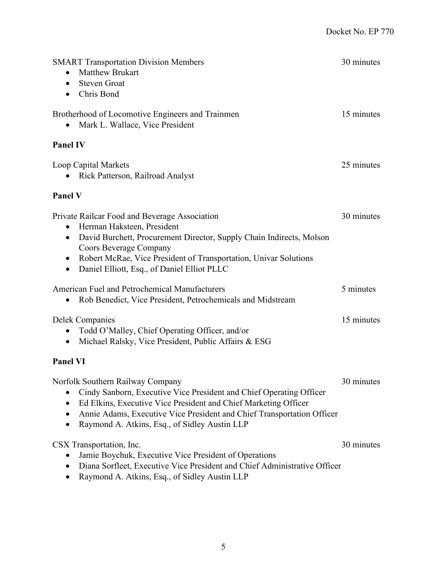| <b>SMART Transportation Division Members</b><br><b>Matthew Brukart</b><br><b>Steven Groat</b><br>$\bullet$<br>Chris Bond                                                                                                                                                                                                                             | 30 minutes |
|------------------------------------------------------------------------------------------------------------------------------------------------------------------------------------------------------------------------------------------------------------------------------------------------------------------------------------------------------|------------|
| Brotherhood of Locomotive Engineers and Trainmen<br>Mark L. Wallace, Vice President                                                                                                                                                                                                                                                                  | 15 minutes |
| <b>Panel IV</b>                                                                                                                                                                                                                                                                                                                                      |            |
| Loop Capital Markets<br>Rick Patterson, Railroad Analyst                                                                                                                                                                                                                                                                                             | 25 minutes |
| <b>Panel V</b>                                                                                                                                                                                                                                                                                                                                       |            |
| Private Railcar Food and Beverage Association<br>Herman Haksteen, President<br>$\bullet$<br>David Burchett, Procurement Director, Supply Chain Indirects, Molson<br>$\bullet$<br>Coors Beverage Company<br>Robert McRae, Vice President of Transportation, Univar Solutions<br>$\bullet$<br>Daniel Elliott, Esq., of Daniel Elliot PLLC<br>$\bullet$ | 30 minutes |
| American Fuel and Petrochemical Manufacturers<br>Rob Benedict, Vice President, Petrochemicals and Midstream                                                                                                                                                                                                                                          | 5 minutes  |
| <b>Delek Companies</b><br>Todd O'Malley, Chief Operating Officer, and/or<br>Michael Ralsky, Vice President, Public Affairs & ESG<br>$\bullet$                                                                                                                                                                                                        | 15 minutes |
| <b>Panel VI</b>                                                                                                                                                                                                                                                                                                                                      |            |
| Norfolk Southern Railway Company<br>Cindy Sanborn, Executive Vice President and Chief Operating Officer<br>Ed Elkins, Executive Vice President and Chief Marketing Officer<br>٠<br>Annie Adams, Executive Vice President and Chief Transportation Officer<br>Raymond A. Atkins, Esq., of Sidley Austin LLP                                           | 30 minutes |
| CSX Transportation, Inc.<br>Jamie Boychuk, Executive Vice President of Operations<br>Diana Sorfleet, Executive Vice President and Chief Administrative Officer<br>Raymond A. Atkins, Esq., of Sidley Austin LLP                                                                                                                                      | 30 minutes |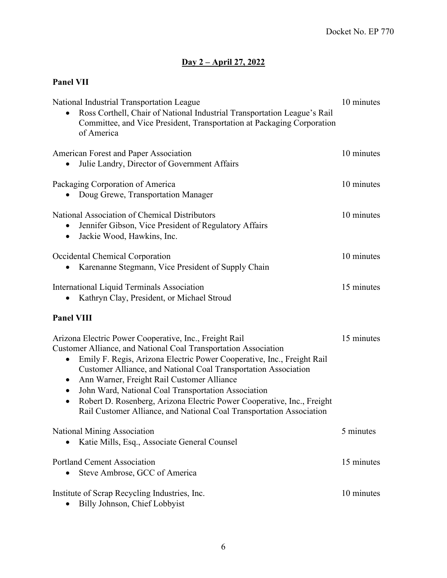# **Day 2 – April 27, 2022**

# **Panel VII**

| National Industrial Transportation League<br>Ross Corthell, Chair of National Industrial Transportation League's Rail<br>Committee, and Vice President, Transportation at Packaging Corporation<br>of America                                                                                                                                                                                                                                                                                                                                                             | 10 minutes |
|---------------------------------------------------------------------------------------------------------------------------------------------------------------------------------------------------------------------------------------------------------------------------------------------------------------------------------------------------------------------------------------------------------------------------------------------------------------------------------------------------------------------------------------------------------------------------|------------|
| American Forest and Paper Association<br>Julie Landry, Director of Government Affairs                                                                                                                                                                                                                                                                                                                                                                                                                                                                                     | 10 minutes |
| Packaging Corporation of America<br>Doug Grewe, Transportation Manager                                                                                                                                                                                                                                                                                                                                                                                                                                                                                                    | 10 minutes |
| National Association of Chemical Distributors<br>Jennifer Gibson, Vice President of Regulatory Affairs<br>Jackie Wood, Hawkins, Inc.<br>$\bullet$                                                                                                                                                                                                                                                                                                                                                                                                                         | 10 minutes |
| Occidental Chemical Corporation<br>Karenanne Stegmann, Vice President of Supply Chain                                                                                                                                                                                                                                                                                                                                                                                                                                                                                     | 10 minutes |
| International Liquid Terminals Association<br>Kathryn Clay, President, or Michael Stroud                                                                                                                                                                                                                                                                                                                                                                                                                                                                                  | 15 minutes |
| <b>Panel VIII</b>                                                                                                                                                                                                                                                                                                                                                                                                                                                                                                                                                         |            |
| Arizona Electric Power Cooperative, Inc., Freight Rail<br>Customer Alliance, and National Coal Transportation Association<br>Emily F. Regis, Arizona Electric Power Cooperative, Inc., Freight Rail<br>$\bullet$<br>Customer Alliance, and National Coal Transportation Association<br>Ann Warner, Freight Rail Customer Alliance<br>$\bullet$<br>John Ward, National Coal Transportation Association<br>٠<br>Robert D. Rosenberg, Arizona Electric Power Cooperative, Inc., Freight<br>$\bullet$<br>Rail Customer Alliance, and National Coal Transportation Association | 15 minutes |
| <b>National Mining Association</b><br>Katie Mills, Esq., Associate General Counsel                                                                                                                                                                                                                                                                                                                                                                                                                                                                                        | 5 minutes  |
| <b>Portland Cement Association</b><br>Steve Ambrose, GCC of America                                                                                                                                                                                                                                                                                                                                                                                                                                                                                                       | 15 minutes |
| Institute of Scrap Recycling Industries, Inc.<br>Billy Johnson, Chief Lobbyist<br>$\bullet$                                                                                                                                                                                                                                                                                                                                                                                                                                                                               | 10 minutes |